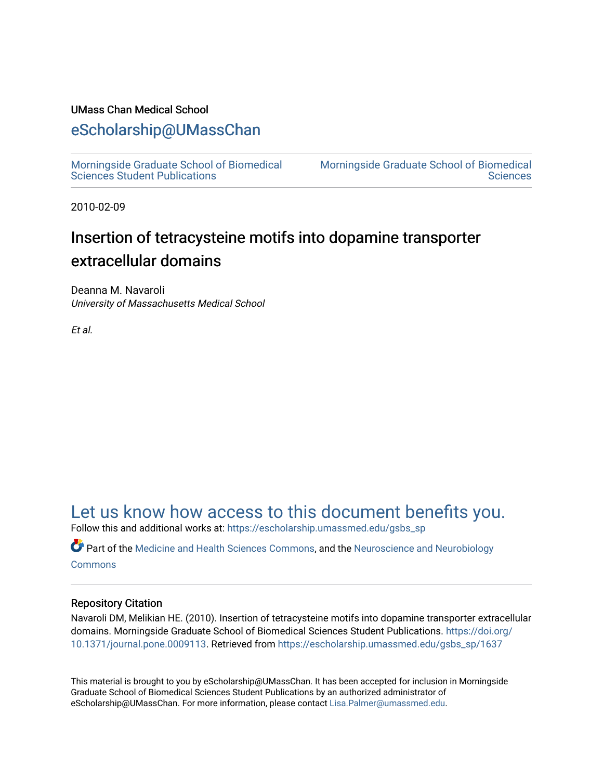## UMass Chan Medical School

## [eScholarship@UMassChan](https://escholarship.umassmed.edu/)

[Morningside Graduate School of Biomedical](https://escholarship.umassmed.edu/gsbs_sp)  [Sciences Student Publications](https://escholarship.umassmed.edu/gsbs_sp) 

[Morningside Graduate School of Biomedical](https://escholarship.umassmed.edu/gsbs)  **Sciences** 

2010-02-09

## Insertion of tetracysteine motifs into dopamine transporter extracellular domains

Deanna M. Navaroli University of Massachusetts Medical School

Et al.

## [Let us know how access to this document benefits you.](https://arcsapps.umassmed.edu/redcap/surveys/?s=XWRHNF9EJE)

Follow this and additional works at: [https://escholarship.umassmed.edu/gsbs\\_sp](https://escholarship.umassmed.edu/gsbs_sp?utm_source=escholarship.umassmed.edu%2Fgsbs_sp%2F1637&utm_medium=PDF&utm_campaign=PDFCoverPages)

**Part of the [Medicine and Health Sciences Commons,](http://network.bepress.com/hgg/discipline/648?utm_source=escholarship.umassmed.edu%2Fgsbs_sp%2F1637&utm_medium=PDF&utm_campaign=PDFCoverPages) and the [Neuroscience and Neurobiology](http://network.bepress.com/hgg/discipline/55?utm_source=escholarship.umassmed.edu%2Fgsbs_sp%2F1637&utm_medium=PDF&utm_campaign=PDFCoverPages) [Commons](http://network.bepress.com/hgg/discipline/55?utm_source=escholarship.umassmed.edu%2Fgsbs_sp%2F1637&utm_medium=PDF&utm_campaign=PDFCoverPages)** 

### Repository Citation

Navaroli DM, Melikian HE. (2010). Insertion of tetracysteine motifs into dopamine transporter extracellular domains. Morningside Graduate School of Biomedical Sciences Student Publications. [https://doi.org/](https://doi.org/10.1371/journal.pone.0009113) [10.1371/journal.pone.0009113.](https://doi.org/10.1371/journal.pone.0009113) Retrieved from [https://escholarship.umassmed.edu/gsbs\\_sp/1637](https://escholarship.umassmed.edu/gsbs_sp/1637?utm_source=escholarship.umassmed.edu%2Fgsbs_sp%2F1637&utm_medium=PDF&utm_campaign=PDFCoverPages)

This material is brought to you by eScholarship@UMassChan. It has been accepted for inclusion in Morningside Graduate School of Biomedical Sciences Student Publications by an authorized administrator of eScholarship@UMassChan. For more information, please contact [Lisa.Palmer@umassmed.edu](mailto:Lisa.Palmer@umassmed.edu).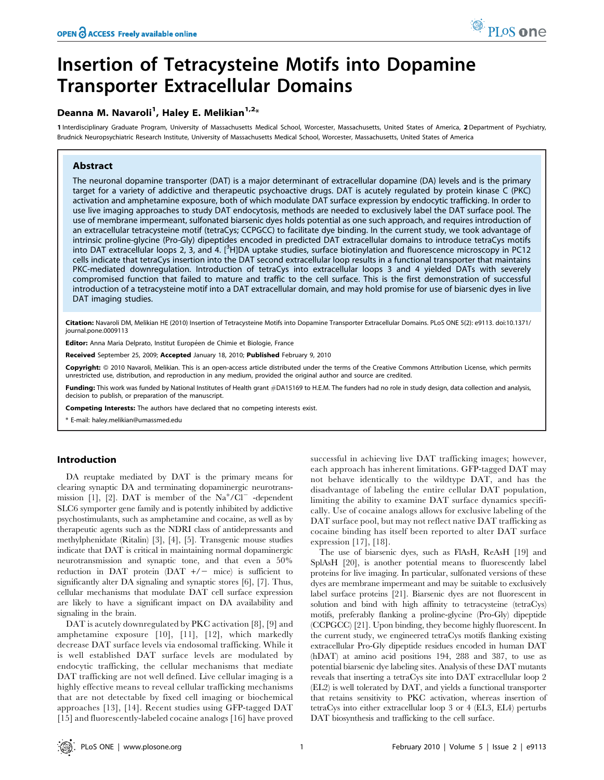# Insertion of Tetracysteine Motifs into Dopamine Transporter Extracellular Domains

## Deanna M. Navaroli<sup>1</sup>, Haley E. Melikian<sup>1,2</sup>\*

1 Interdisciplinary Graduate Program, University of Massachusetts Medical School, Worcester, Massachusetts, United States of America, 2 Department of Psychiatry, Brudnick Neuropsychiatric Research Institute, University of Massachusetts Medical School, Worcester, Massachusetts, United States of America

#### Abstract

The neuronal dopamine transporter (DAT) is a major determinant of extracellular dopamine (DA) levels and is the primary target for a variety of addictive and therapeutic psychoactive drugs. DAT is acutely regulated by protein kinase C (PKC) activation and amphetamine exposure, both of which modulate DAT surface expression by endocytic trafficking. In order to use live imaging approaches to study DAT endocytosis, methods are needed to exclusively label the DAT surface pool. The use of membrane impermeant, sulfonated biarsenic dyes holds potential as one such approach, and requires introduction of an extracellular tetracysteine motif (tetraCys; CCPGCC) to facilitate dye binding. In the current study, we took advantage of intrinsic proline-glycine (Pro-Gly) dipeptides encoded in predicted DAT extracellular domains to introduce tetraCys motifs into DAT extracellular loops 2, 3, and 4. [<sup>3</sup>H]DA uptake studies, surface biotinylation and fluorescence microscopy in PC12 cells indicate that tetraCys insertion into the DAT second extracellular loop results in a functional transporter that maintains PKC-mediated downregulation. Introduction of tetraCys into extracellular loops 3 and 4 yielded DATs with severely compromised function that failed to mature and traffic to the cell surface. This is the first demonstration of successful introduction of a tetracysteine motif into a DAT extracellular domain, and may hold promise for use of biarsenic dyes in live DAT imaging studies.

Citation: Navaroli DM, Melikian HE (2010) Insertion of Tetracysteine Motifs into Dopamine Transporter Extracellular Domains. PLoS ONE 5(2): e9113. doi:10.1371/ journal.pone.0009113

Editor: Anna Maria Delprato, Institut Européen de Chimie et Biologie, France

Received September 25, 2009; Accepted January 18, 2010; Published February 9, 2010

Copyright: @ 2010 Navaroli, Melikian. This is an open-access article distributed under the terms of the Creative Commons Attribution License, which permits unrestricted use, distribution, and reproduction in any medium, provided the original author and source are credited.

Funding: This work was funded by National Institutes of Health grant #DA15169 to H.E.M. The funders had no role in study design, data collection and analysis, decision to publish, or preparation of the manuscript.

Competing Interests: The authors have declared that no competing interests exist.

\* E-mail: haley.melikian@umassmed.edu

#### Introduction

DA reuptake mediated by DAT is the primary means for clearing synaptic DA and terminating dopaminergic neurotransmission [1], [2]. DAT is member of the  $Na^+ /Cl^-$  -dependent SLC6 symporter gene family and is potently inhibited by addictive psychostimulants, such as amphetamine and cocaine, as well as by therapeutic agents such as the NDRI class of antidepressants and methylphenidate (Ritalin) [3], [4], [5]. Transgenic mouse studies indicate that DAT is critical in maintaining normal dopaminergic neurotransmission and synaptic tone, and that even a 50% reduction in DAT protein  $(DAT +/-$  mice) is sufficient to significantly alter DA signaling and synaptic stores [6], [7]. Thus, cellular mechanisms that modulate DAT cell surface expression are likely to have a significant impact on DA availability and signaling in the brain.

DAT is acutely downregulated by PKC activation [8], [9] and amphetamine exposure [10], [11], [12], which markedly decrease DAT surface levels via endosomal trafficking. While it is well established DAT surface levels are modulated by endocytic trafficking, the cellular mechanisms that mediate DAT trafficking are not well defined. Live cellular imaging is a highly effective means to reveal cellular trafficking mechanisms that are not detectable by fixed cell imaging or biochemical approaches [13], [14]. Recent studies using GFP-tagged DAT [15] and fluorescently-labeled cocaine analogs [16] have proved successful in achieving live DAT trafficking images; however, each approach has inherent limitations. GFP-tagged DAT may not behave identically to the wildtype DAT, and has the disadvantage of labeling the entire cellular DAT population, limiting the ability to examine DAT surface dynamics specifically. Use of cocaine analogs allows for exclusive labeling of the DAT surface pool, but may not reflect native DAT trafficking as cocaine binding has itself been reported to alter DAT surface expression [17], [18].

The use of biarsenic dyes, such as FlAsH, ReAsH [19] and SplAsH [20], is another potential means to fluorescently label proteins for live imaging. In particular, sulfonated versions of these dyes are membrane impermeant and may be suitable to exclusively label surface proteins [21]. Biarsenic dyes are not fluorescent in solution and bind with high affinity to tetracysteine (tetraCys) motifs, preferably flanking a proline-glycine (Pro-Gly) dipeptide (CCPGCC) [21]. Upon binding, they become highly fluorescent. In the current study, we engineered tetraCys motifs flanking existing extracellular Pro-Gly dipeptide residues encoded in human DAT (hDAT) at amino acid positions 194, 288 and 387, to use as potential biarsenic dye labeling sites. Analysis of these DAT mutants reveals that inserting a tetraCys site into DAT extracellular loop 2 (EL2) is well tolerated by DAT, and yields a functional transporter that retains sensitivity to PKC activation, whereas insertion of tetraCys into either extracellular loop 3 or 4 (EL3, EL4) perturbs DAT biosynthesis and trafficking to the cell surface.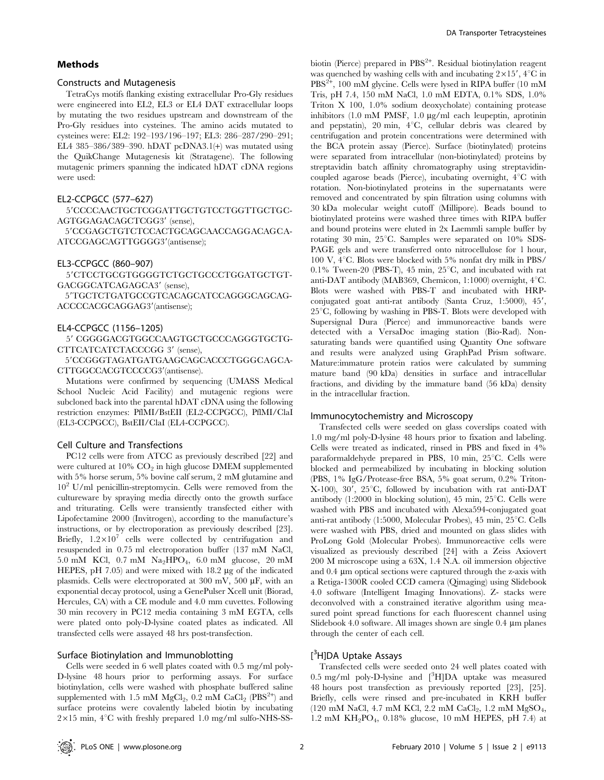#### Methods

#### Constructs and Mutagenesis

TetraCys motifs flanking existing extracellular Pro-Gly residues were engineered into EL2, EL3 or EL4 DAT extracellular loops by mutating the two residues upstream and downstream of the Pro-Gly residues into cysteines. The amino acids mutated to cysteines were: EL2: 192–193/196–197; EL3: 286–287/290–291; EL4 385–386/389–390. hDAT pcDNA3.1(+) was mutated using the QuikChange Mutagenesis kit (Stratagene). The following mutagenic primers spanning the indicated hDAT cDNA regions were used:

#### EL2-CCPGCC (577–627)

5'CCCCAACTGCTCGGATTGCTGTCCTGGTTGCTGC-AGTGGAGACAGCTCGG3' (sense),

5'CCGAGCTGTCTCCACTGCAGCAACCAGGACAGCA-ATCCGAGCAGTTGGGG3'(antisense);

#### EL3-CCPGCC (860–907)

5'CTCCTGCGTGGGGTCTGCTGCCCTGGATGCTGT-GACGGCATCAGAGCA3' (sense),

5'TGCTCTGATGCCGTCACAGCATCCAGGGCAGCAG-ACCCCACGCAGGAG3'(antisense);

#### EL4-CCPGCC (1156–1205)

5' CGGGGACGTGGCCAAGTGCTGCCCAGGGTGCTG-CTTCATCATCTACCCGG 3' (sense),

59CCGGGTAGATGATGAAGCAGCACCCTGGGCAGCA-CTTGGCCACGTCCCCG3'(antisense).

Mutations were confirmed by sequencing (UMASS Medical School Nucleic Acid Facility) and mutagenic regions were subcloned back into the parental hDAT cDNA using the following restriction enzymes: PflMI/BstEII (EL2-CCPGCC), PflMI/ClaI (EL3-CCPGCC), BstEII/ClaI (EL4-CCPGCC).

#### Cell Culture and Transfections

PC12 cells were from ATCC as previously described [22] and were cultured at  $10\%$  CO<sub>2</sub> in high glucose DMEM supplemented with 5% horse serum, 5% bovine calf serum, 2 mM glutamine and  $10<sup>2</sup>$  U/ml penicillin-streptomycin. Cells were removed from the cultureware by spraying media directly onto the growth surface and triturating. Cells were transiently transfected either with Lipofectamine 2000 (Invitrogen), according to the manufacture's instructions, or by electroporation as previously described [23]. Briefly,  $1.2 \times 10^7$  cells were collected by centrifugation and resuspended in 0.75 ml electroporation buffer (137 mM NaCl, 5.0 mM KCl, 0.7 mM  $Na<sub>2</sub>HPO<sub>4</sub>$ , 6.0 mM glucose, 20 mM HEPES, pH 7.05) and were mixed with 18.2 µg of the indicated plasmids. Cells were electroporated at 300 mV, 500  $\mu$ F, with an exponential decay protocol, using a GenePulser Xcell unit (Biorad, Hercules, CA) with a CE module and 4.0 mm cuvettes. Following 30 min recovery in PC12 media containing 3 mM EGTA, cells were plated onto poly-D-lysine coated plates as indicated. All transfected cells were assayed 48 hrs post-transfection.

#### Surface Biotinylation and Immunoblotting

Cells were seeded in 6 well plates coated with 0.5 mg/ml poly-D-lysine 48 hours prior to performing assays. For surface biotinylation, cells were washed with phosphate buffered saline supplemented with 1.5 mM  $MgCl_2$ , 0.2 mM  $CaCl_2$  (PBS<sup>2+</sup>) and surface proteins were covalently labeled biotin by incubating  $2\times15$  min,  $4^{\circ}$ C with freshly prepared 1.0 mg/ml sulfo-NHS-SS-

biotin (Pierce) prepared in PBS<sup>2+</sup>. Residual biotinylation reagent was quenched by washing cells with and incubating  $2 \times 15'$ ,  $4^{\circ}$ C in PBS<sup>2+</sup>, 100 mM glycine. Cells were lysed in RIPA buffer (10 mM Tris, pH 7.4, 150 mM NaCl, 1.0 mM EDTA, 0.1% SDS, 1.0% Triton X 100, 1.0% sodium deoxycholate) containing protease inhibitors  $(1.0 \text{ mM} \text{ PMSF}, 1.0 \text{ µg/ml} \text{ each leupeptin}, \text{ aprotinin}$ and pepstatin), 20 min,  $4^{\circ}C$ , cellular debris was cleared by centrifugation and protein concentrations were determined with the BCA protein assay (Pierce). Surface (biotinylated) proteins were separated from intracellular (non-biotinylated) proteins by streptavidin batch affinity chromatography using streptavidincoupled agarose beads (Pierce), incubating overnight,  $4^{\circ}$ C with rotation. Non-biotinylated proteins in the supernatants were removed and concentrated by spin filtration using columns with 30 kDa molecular weight cutoff (Millipore). Beads bound to biotinylated proteins were washed three times with RIPA buffer and bound proteins were eluted in 2x Laemmli sample buffer by rotating 30 min,  $25^{\circ}$ C. Samples were separated on 10% SDS-PAGE gels and were transferred onto nitrocellulose for 1 hour, 100 V,  $4^{\circ}$ C. Blots were blocked with 5% nonfat dry milk in PBS/ 0.1% Tween-20 (PBS-T), 45 min,  $25^{\circ}$ C, and incubated with rat anti-DAT antibody (MAB369, Chemicon, 1:1000) overnight,  $4^{\circ}$ C. Blots were washed with PBS-T and incubated with HRPconjugated goat anti-rat antibody (Santa Cruz, 1:5000), 45',  $25^{\circ}$ C, following by washing in PBS-T. Blots were developed with Supersignal Dura (Pierce) and immunoreactive bands were detected with a VersaDoc imaging station (Bio-Rad). Nonsaturating bands were quantified using Quantity One software and results were analyzed using GraphPad Prism software. Mature:immature protein ratios were calculated by summing mature band (90 kDa) densities in surface and intracellular fractions, and dividing by the immature band (56 kDa) density in the intracellular fraction.

#### Immunocytochemistry and Microscopy

Transfected cells were seeded on glass coverslips coated with 1.0 mg/ml poly-D-lysine 48 hours prior to fixation and labeling. Cells were treated as indicated, rinsed in PBS and fixed in 4% paraformaldehyde prepared in PBS,  $10 \text{ min}$ ,  $25^{\circ}$ C. Cells were blocked and permeabilized by incubating in blocking solution (PBS, 1% IgG/Protease-free BSA, 5% goat serum, 0.2% Triton-X-100), 30', 25 $\degree$ C, followed by incubation with rat anti-DAT antibody (1:2000 in blocking solution), 45 min,  $25^{\circ}$ C. Cells were washed with PBS and incubated with Alexa594-conjugated goat anti-rat antibody (1:5000, Molecular Probes), 45 min,  $25^{\circ}$ C. Cells were washed with PBS, dried and mounted on glass slides with ProLong Gold (Molecular Probes). Immunoreactive cells were visualized as previously described [24] with a Zeiss Axiovert 200 M microscope using a 63X, 1.4 N.A. oil immersion objective and 0.4 µm optical sections were captured through the z-axis with a Retiga-1300R cooled CCD camera (Qimaging) using Slidebook 4.0 software (Intelligent Imaging Innovations). Z- stacks were deconvolved with a constrained iterative algorithm using measured point spread functions for each fluorescent channel using Slidebook 4.0 software. All images shown are single  $0.4 \mu m$  planes through the center of each cell.

## [<sup>3</sup>H]DA Uptake Assays

Transfected cells were seeded onto 24 well plates coated with 0.5 mg/ml poly-D-lysine and [<sup>3</sup>H]DA uptake was measured 48 hours post transfection as previously reported [23], [25]. Briefly, cells were rinsed and pre-incubated in KRH buffer (120 mM NaCl, 4.7 mM KCl, 2.2 mM  $CaCl<sub>2</sub>$ , 1.2 mM  $MgSO<sub>4</sub>$ , 1.2 mM KH2PO4, 0.18% glucose, 10 mM HEPES, pH 7.4) at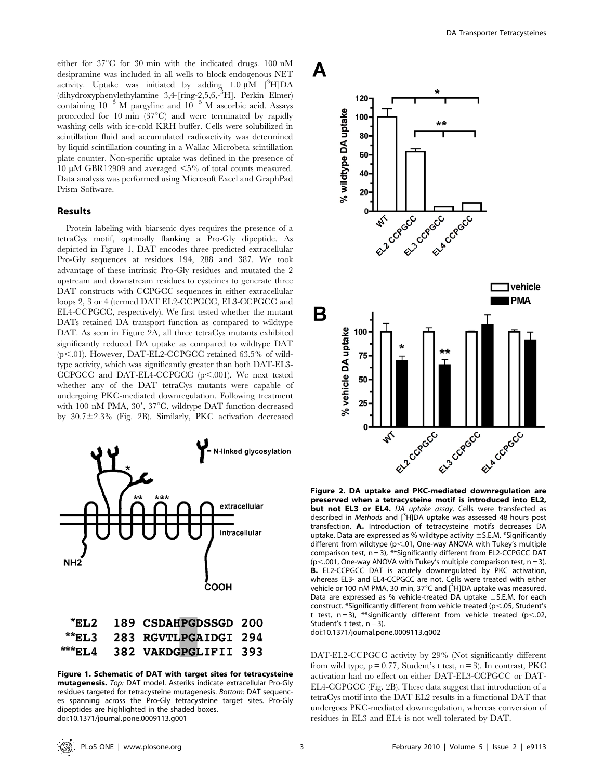either for  $37^{\circ}$ C for 30 min with the indicated drugs. 100 nM desipramine was included in all wells to block endogenous NET activity. Uptake was initiated by adding  $1.0 \mu M$  [<sup>3</sup>H]DA (dihydroxyphenylethylamine 3,4-[ring-2,5,6,-<sup>3</sup> H], Perkin Elmer) containing  $10^{-5}$  M pargyline and  $10^{-5}$  M ascorbic acid. Assays proceeded for 10 min  $(37^{\circ}C)$  and were terminated by rapidly washing cells with ice-cold KRH buffer. Cells were solubilized in scintillation fluid and accumulated radioactivity was determined by liquid scintillation counting in a Wallac Microbeta scintillation plate counter. Non-specific uptake was defined in the presence of 10  $\mu$ M GBR12909 and averaged  $\leq$ 5% of total counts measured. Data analysis was performed using Microsoft Excel and GraphPad Prism Software.

#### Results

Protein labeling with biarsenic dyes requires the presence of a tetraCys motif, optimally flanking a Pro-Gly dipeptide. As depicted in Figure 1, DAT encodes three predicted extracellular Pro-Gly sequences at residues 194, 288 and 387. We took advantage of these intrinsic Pro-Gly residues and mutated the 2 upstream and downstream residues to cysteines to generate three DAT constructs with CCPGCC sequences in either extracellular loops 2, 3 or 4 (termed DAT EL2-CCPGCC, EL3-CCPGCC and EL4-CCPGCC, respectively). We first tested whether the mutant DATs retained DA transport function as compared to wildtype DAT. As seen in Figure 2A, all three tetraCys mutants exhibited significantly reduced DA uptake as compared to wildtype DAT  $(p<.01)$ . However, DAT-EL2-CCPGCC retained 63.5% of wildtype activity, which was significantly greater than both DAT-EL3-  $CCPGCC$  and DAT-EL4-CCPGCC (p<.001). We next tested whether any of the DAT tetraCys mutants were capable of undergoing PKC-mediated downregulation. Following treatment with 100 nM PMA,  $30'$ ,  $37^{\circ}$ C, wildtype DAT function decreased by  $30.7 \pm 2.3$ % (Fig. 2B). Similarly, PKC activation decreased



| ELS 283 RGVTLFGAIDGI 294" |  |
|---------------------------|--|
|---------------------------|--|

\*\*\*EL4 382 VAKDGPGLIFII 393

% wildtype DA uptake 20

 $120 -$ 

100

80 60 40

A



ياه ماه

Figure 2. DA uptake and PKC-mediated downregulation are preserved when a tetracysteine motif is introduced into EL2, but not EL3 or EL4. DA uptake assay. Cells were transfected as described in Methods and [<sup>3</sup>HJDA uptake was assessed 48 hours post transfection. A. Introduction of tetracysteine motifs decreases DA uptake. Data are expressed as % wildtype activity  $\pm$  S.E.M. \*Significantly different from wildtype ( $p<.01$ , One-way ANOVA with Tukey's multiple comparison test,  $n = 3$ ), \*\*Significantly different from EL2-CCPGCC DAT  $(p<.001$ , One-way ANOVA with Tukey's multiple comparison test,  $n = 3$ ). B. EL2-CCPGCC DAT is acutely downregulated by PKC activation, whereas EL3- and EL4-CCPGCC are not. Cells were treated with either vehicle or 100 nM PMA, 30 min, 37 $^{\circ}$ C and  $[^{3}H]$ DA uptake was measured. Data are expressed as % vehicle-treated DA uptake  $\pm$  S.E.M. for each construct. \*Significantly different from vehicle treated ( $p$ <.05, Student's t test,  $n = 3$ ), \*\*significantly different from vehicle treated ( $p < .02$ , Student's t test,  $n = 3$ ).

doi:10.1371/journal.pone.0009113.g002

DAT-EL2-CCPGCC activity by 29% (Not significantly different from wild type,  $p = 0.77$ , Student's t test,  $n = 3$ ). In contrast, PKC activation had no effect on either DAT-EL3-CCPGCC or DAT-EL4-CCPGCC (Fig. 2B). These data suggest that introduction of a tetraCys motif into the DAT EL2 results in a functional DAT that undergoes PKC-mediated downregulation, whereas conversion of residues in EL3 and EL4 is not well tolerated by DAT.

Figure 1. Schematic of DAT with target sites for tetracysteine mutagenesis. Top: DAT model. Asteriks indicate extracellular Pro-Gly residues targeted for tetracysteine mutagenesis. Bottom: DAT sequences spanning across the Pro-Gly tetracysteine target sites. Pro-Gly dipeptides are highlighted in the shaded boxes. doi:10.1371/journal.pone.0009113.g001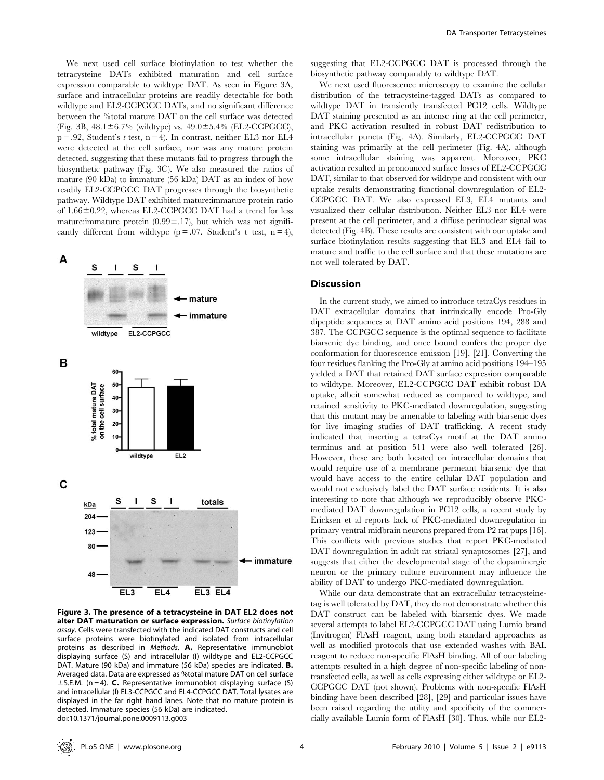We next used cell surface biotinylation to test whether the tetracysteine DATs exhibited maturation and cell surface expression comparable to wildtype DAT. As seen in Figure 3A, surface and intracellular proteins are readily detectable for both wildtype and EL2-CCPGCC DATs, and no significant difference between the %total mature DAT on the cell surface was detected (Fig. 3B,  $48.1 \pm 6.7\%$  (wildtype) vs.  $49.0 \pm 5.4\%$  (EL2-CCPGCC),  $p = .92$ , Student's *t* test,  $n = 4$ ). In contrast, neither EL3 nor EL4 were detected at the cell surface, nor was any mature protein detected, suggesting that these mutants fail to progress through the biosynthetic pathway (Fig. 3C). We also measured the ratios of mature (90 kDa) to immature (56 kDa) DAT as an index of how readily EL2-CCPGCC DAT progresses through the biosynthetic pathway. Wildtype DAT exhibited mature:immature protein ratio of  $1.66 \pm 0.22$ , whereas EL2-CCPGCC DAT had a trend for less mature:immature protein  $(0.99 \pm 0.17)$ , but which was not significantly different from wildtype  $(p = .07,$  Student's t test,  $n = 4$ ),



Figure 3. The presence of a tetracysteine in DAT EL2 does not alter DAT maturation or surface expression. Surface biotinylation assay. Cells were transfected with the indicated DAT constructs and cell surface proteins were biotinylated and isolated from intracellular proteins as described in Methods. A. Representative immunoblot displaying surface (S) and intracellular (I) wildtype and EL2-CCPGCC DAT. Mature (90 kDa) and immature (56 kDa) species are indicated. B. Averaged data. Data are expressed as %total mature DAT on cell surface  $\pm$  S.E.M. (n = 4). C. Representative immunoblot displaying surface (S) and intracellular (I) EL3-CCPGCC and EL4-CCPGCC DAT. Total lysates are displayed in the far right hand lanes. Note that no mature protein is detected. Immature species (56 kDa) are indicated. doi:10.1371/journal.pone.0009113.g003

suggesting that EL2-CCPGCC DAT is processed through the biosynthetic pathway comparably to wildtype DAT.

We next used fluorescence microscopy to examine the cellular distribution of the tetracysteine-tagged DATs as compared to wildtype DAT in transiently transfected PC12 cells. Wildtype DAT staining presented as an intense ring at the cell perimeter, and PKC activation resulted in robust DAT redistribution to intracellular puncta (Fig. 4A). Similarly, EL2-CCPGCC DAT staining was primarily at the cell perimeter (Fig. 4A), although some intracellular staining was apparent. Moreover, PKC activation resulted in pronounced surface losses of EL2-CCPGCC DAT, similar to that observed for wildtype and consistent with our uptake results demonstrating functional downregulation of EL2- CCPGCC DAT. We also expressed EL3, EL4 mutants and visualized their cellular distribution. Neither EL3 nor EL4 were present at the cell perimeter, and a diffuse perinuclear signal was detected (Fig. 4B). These results are consistent with our uptake and surface biotinylation results suggesting that EL3 and EL4 fail to mature and traffic to the cell surface and that these mutations are not well tolerated by DAT.

#### Discussion

In the current study, we aimed to introduce tetraCys residues in DAT extracellular domains that intrinsically encode Pro-Gly dipeptide sequences at DAT amino acid positions 194, 288 and 387. The CCPGCC sequence is the optimal sequence to facilitate biarsenic dye binding, and once bound confers the proper dye conformation for fluorescence emission [19], [21]. Converting the four residues flanking the Pro-Gly at amino acid positions 194–195 yielded a DAT that retained DAT surface expression comparable to wildtype. Moreover, EL2-CCPGCC DAT exhibit robust DA uptake, albeit somewhat reduced as compared to wildtype, and retained sensitivity to PKC-mediated downregulation, suggesting that this mutant may be amenable to labeling with biarsenic dyes for live imaging studies of DAT trafficking. A recent study indicated that inserting a tetraCys motif at the DAT amino terminus and at position 511 were also well tolerated [26]. However, these are both located on intracellular domains that would require use of a membrane permeant biarsenic dye that would have access to the entire cellular DAT population and would not exclusively label the DAT surface residents. It is also interesting to note that although we reproducibly observe PKCmediated DAT downregulation in PC12 cells, a recent study by Ericksen et al reports lack of PKC-mediated downregulation in primary ventral midbrain neurons prepared from P2 rat pups [16]. This conflicts with previous studies that report PKC-mediated DAT downregulation in adult rat striatal synaptosomes [27], and suggests that either the developmental stage of the dopaminergic neuron or the primary culture environment may influence the ability of DAT to undergo PKC-mediated downregulation.

While our data demonstrate that an extracellular tetracysteinetag is well tolerated by DAT, they do not demonstrate whether this DAT construct can be labeled with biarsenic dyes. We made several attempts to label EL2-CCPGCC DAT using Lumio brand (Invitrogen) FlAsH reagent, using both standard approaches as well as modified protocols that use extended washes with BAL reagent to reduce non-specific FlAsH binding. All of our labeling attempts resulted in a high degree of non-specific labeling of nontransfected cells, as well as cells expressing either wildtype or EL2- CCPGCC DAT (not shown). Problems with non-specific FlAsH binding have been described [28], [29] and particular issues have been raised regarding the utility and specificity of the commercially available Lumio form of FlAsH [30]. Thus, while our EL2-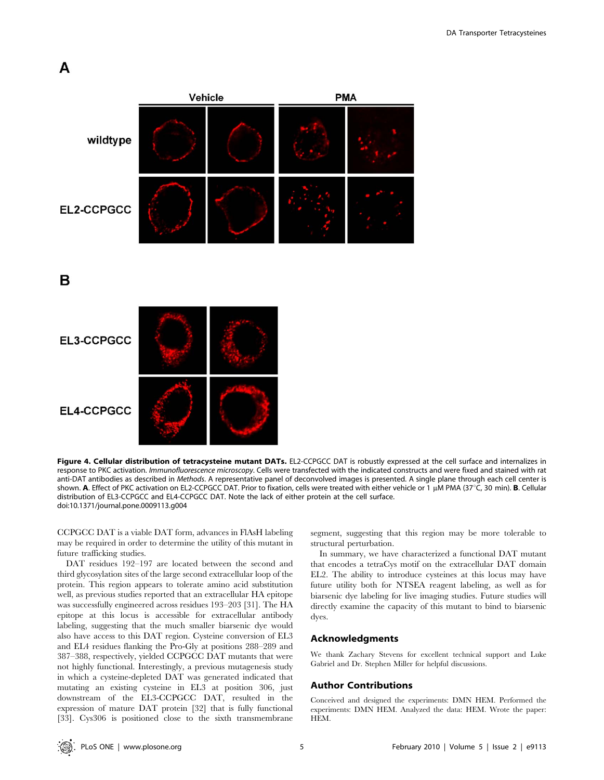## A



B

EL3-CCPGCC

EL4-CCPGCC

Figure 4. Cellular distribution of tetracysteine mutant DATs. EL2-CCPGCC DAT is robustly expressed at the cell surface and internalizes in response to PKC activation. Immunofluorescence microscopy. Cells were transfected with the indicated constructs and were fixed and stained with rat anti-DAT antibodies as described in Methods. A representative panel of deconvolved images is presented. A single plane through each cell center is shown. A. Effect of PKC activation on EL2-CCPGCC DAT. Prior to fixation, cells were treated with either vehicle or 1 µM PMA (37°C, 30 min). B. Cellular distribution of EL3-CCPGCC and EL4-CCPGCC DAT. Note the lack of either protein at the cell surface. doi:10.1371/journal.pone.0009113.g004

CCPGCC DAT is a viable DAT form, advances in FlAsH labeling may be required in order to determine the utility of this mutant in future trafficking studies.

DAT residues 192–197 are located between the second and third glycosylation sites of the large second extracellular loop of the protein. This region appears to tolerate amino acid substitution well, as previous studies reported that an extracellular HA epitope was successfully engineered across residues 193–203 [31]. The HA epitope at this locus is accessible for extracellular antibody labeling, suggesting that the much smaller biarsenic dye would also have access to this DAT region. Cysteine conversion of EL3 and EL4 residues flanking the Pro-Gly at positions 288–289 and 387–388, respectively, yielded CCPGCC DAT mutants that were not highly functional. Interestingly, a previous mutagenesis study in which a cysteine-depleted DAT was generated indicated that mutating an existing cysteine in EL3 at position 306, just downstream of the EL3-CCPGCC DAT, resulted in the expression of mature DAT protein [32] that is fully functional [33]. Cys306 is positioned close to the sixth transmembrane

segment, suggesting that this region may be more tolerable to structural perturbation.

In summary, we have characterized a functional DAT mutant that encodes a tetraCys motif on the extracellular DAT domain EL2. The ability to introduce cysteines at this locus may have future utility both for NTSEA reagent labeling, as well as for biarsenic dye labeling for live imaging studies. Future studies will directly examine the capacity of this mutant to bind to biarsenic dyes.

#### Acknowledgments

We thank Zachary Stevens for excellent technical support and Luke Gabriel and Dr. Stephen Miller for helpful discussions.

#### Author Contributions

Conceived and designed the experiments: DMN HEM. Performed the experiments: DMN HEM. Analyzed the data: HEM. Wrote the paper: HEM.